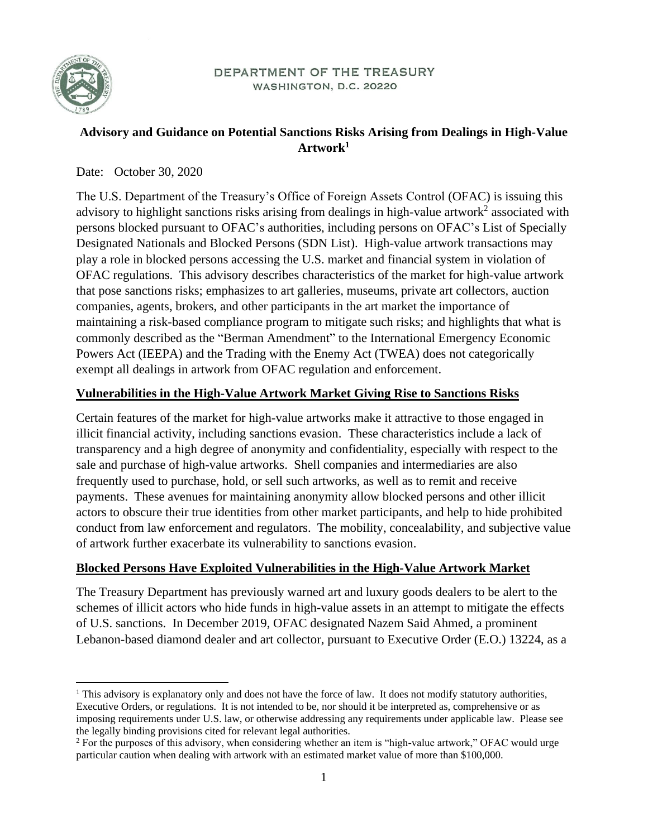

#### DEPARTMENT OF THE TREASURY WASHINGTON, D.C. 20220

## **Advisory and Guidance on Potential Sanctions Risks Arising from Dealings in High-Value Artwork<sup>1</sup>**

Date: October 30, 2020

The U.S. Department of the Treasury's Office of Foreign Assets Control (OFAC) is issuing this advisory to highlight sanctions risks arising from dealings in high-value artwork<sup>2</sup> associated with persons blocked pursuant to OFAC's authorities, including persons on OFAC's List of Specially Designated Nationals and Blocked Persons (SDN List). High-value artwork transactions may play a role in blocked persons accessing the U.S. market and financial system in violation of OFAC regulations. This advisory describes characteristics of the market for high-value artwork that pose sanctions risks; emphasizes to art galleries, museums, private art collectors, auction companies, agents, brokers, and other participants in the art market the importance of maintaining a risk-based compliance program to mitigate such risks; and highlights that what is commonly described as the "Berman Amendment" to the International Emergency Economic Powers Act (IEEPA) and the Trading with the Enemy Act (TWEA) does not categorically exempt all dealings in artwork from OFAC regulation and enforcement.

### **Vulnerabilities in the High-Value Artwork Market Giving Rise to Sanctions Risks**

Certain features of the market for high-value artworks make it attractive to those engaged in illicit financial activity, including sanctions evasion. These characteristics include a lack of transparency and a high degree of anonymity and confidentiality, especially with respect to the sale and purchase of high-value artworks. Shell companies and intermediaries are also frequently used to purchase, hold, or sell such artworks, as well as to remit and receive payments. These avenues for maintaining anonymity allow blocked persons and other illicit actors to obscure their true identities from other market participants, and help to hide prohibited conduct from law enforcement and regulators. The mobility, concealability, and subjective value of artwork further exacerbate its vulnerability to sanctions evasion.

### **Blocked Persons Have Exploited Vulnerabilities in the High-Value Artwork Market**

The Treasury Department has previously warned art and luxury goods dealers to be alert to the schemes of illicit actors who hide funds in high-value assets in an attempt to mitigate the effects of U.S. sanctions. In December 2019, OFAC designated Nazem Said Ahmed, a prominent Lebanon-based diamond dealer and art collector, pursuant to Executive Order (E.O.) 13224, as a

<sup>&</sup>lt;sup>1</sup> This advisory is explanatory only and does not have the force of law. It does not modify statutory authorities, Executive Orders, or regulations. It is not intended to be, nor should it be interpreted as, comprehensive or as imposing requirements under U.S. law, or otherwise addressing any requirements under applicable law. Please see the legally binding provisions cited for relevant legal authorities.

<sup>&</sup>lt;sup>2</sup> For the purposes of this advisory, when considering whether an item is "high-value artwork," OFAC would urge particular caution when dealing with artwork with an estimated market value of more than \$100,000.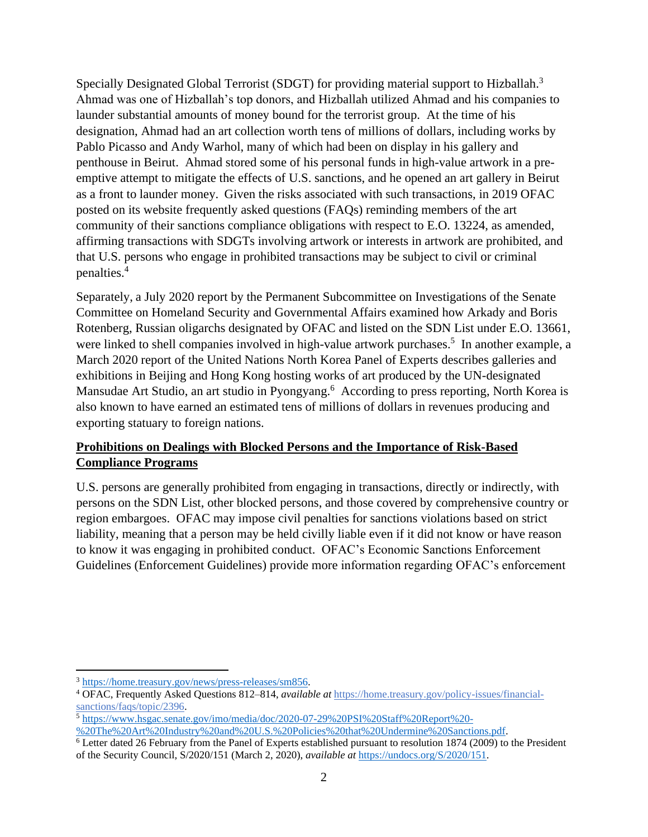Specially Designated Global Terrorist (SDGT) for providing material support to Hizballah.<sup>3</sup> Ahmad was one of Hizballah's top donors, and Hizballah utilized Ahmad and his companies to launder substantial amounts of money bound for the terrorist group. At the time of his designation, Ahmad had an art collection worth tens of millions of dollars, including works by Pablo Picasso and Andy Warhol, many of which had been on display in his gallery and penthouse in Beirut. Ahmad stored some of his personal funds in high-value artwork in a preemptive attempt to mitigate the effects of U.S. sanctions, and he opened an art gallery in Beirut as a front to launder money. Given the risks associated with such transactions, in 2019 OFAC posted on its website frequently asked questions (FAQs) reminding members of the art community of their sanctions compliance obligations with respect to E.O. 13224, as amended, affirming transactions with SDGTs involving artwork or interests in artwork are prohibited, and that U.S. persons who engage in prohibited transactions may be subject to civil or criminal penalties.<sup>4</sup>

Separately, a July 2020 report by the Permanent Subcommittee on Investigations of the Senate Committee on Homeland Security and Governmental Affairs examined how Arkady and Boris Rotenberg, Russian oligarchs designated by OFAC and listed on the SDN List under E.O. 13661, were linked to shell companies involved in high-value artwork purchases.<sup>5</sup> In another example, a March 2020 report of the United Nations North Korea Panel of Experts describes galleries and exhibitions in Beijing and Hong Kong hosting works of art produced by the UN-designated Mansudae Art Studio, an art studio in Pyongyang.<sup>6</sup> According to press reporting, North Korea is also known to have earned an estimated tens of millions of dollars in revenues producing and exporting statuary to foreign nations.

## **Prohibitions on Dealings with Blocked Persons and the Importance of Risk-Based Compliance Programs**

U.S. persons are generally prohibited from engaging in transactions, directly or indirectly, with persons on the SDN List, other blocked persons, and those covered by comprehensive country or region embargoes. OFAC may impose civil penalties for sanctions violations based on strict liability, meaning that a person may be held civilly liable even if it did not know or have reason to know it was engaging in prohibited conduct. OFAC's Economic Sanctions Enforcement Guidelines (Enforcement Guidelines) provide more information regarding OFAC's enforcement

<sup>3</sup> [https://home.treasury.gov/news/press-releases/sm856.](https://home.treasury.gov/news/press-releases/sm856)

<sup>4</sup> OFAC, Frequently Asked Questions 812–814, *available at* [https://home.treasury.gov/policy-issues/financial](https://home.treasury.gov/policy-issues/financial-sanctions/faqs/topic/2396)[sanctions/faqs/topic/2396.](https://home.treasury.gov/policy-issues/financial-sanctions/faqs/topic/2396)

<sup>5</sup> [https://www.hsgac.senate.gov/imo/media/doc/2020-07-29%20PSI%20Staff%20Report%20-](https://www.hsgac.senate.gov/imo/media/doc/2020-07-29%20PSI%20Staff%20Report%20-%20The%20Art%20Industry%20and%20U.S.%20Policies%20that%20Undermine%20Sanctions.pdf) [%20The%20Art%20Industry%20and%20U.S.%20Policies%20that%20Undermine%20Sanctions.pdf.](https://www.hsgac.senate.gov/imo/media/doc/2020-07-29%20PSI%20Staff%20Report%20-%20The%20Art%20Industry%20and%20U.S.%20Policies%20that%20Undermine%20Sanctions.pdf)

<sup>6</sup> Letter dated 26 February from the Panel of Experts established pursuant to resolution 1874 (2009) to the President of the Security Council, S/2020/151 (March 2, 2020), *available at* [https://undocs.org/S/2020/151.](https://undocs.org/S/2020/151)